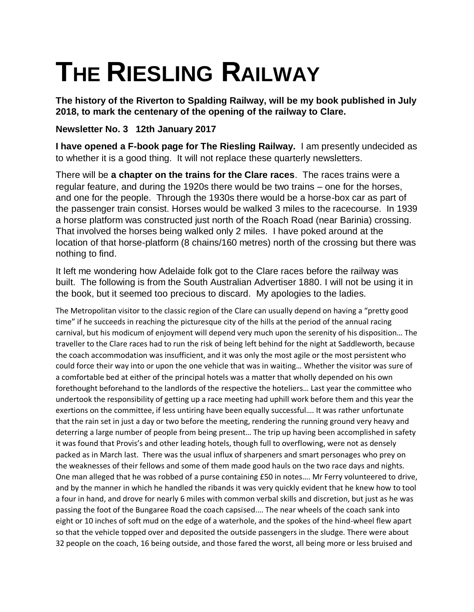## **THE RIESLING RAILWAY**

**The history of the Riverton to Spalding Railway, will be my book published in July 2018, to mark the centenary of the opening of the railway to Clare.** 

## **Newsletter No. 3 12th January 2017**

**I have opened a F-book page for The Riesling Railway.** I am presently undecided as to whether it is a good thing. It will not replace these quarterly newsletters.

There will be **a chapter on the trains for the Clare races**. The races trains were a regular feature, and during the 1920s there would be two trains – one for the horses, and one for the people. Through the 1930s there would be a horse-box car as part of the passenger train consist. Horses would be walked 3 miles to the racecourse. In 1939 a horse platform was constructed just north of the Roach Road (near Barinia) crossing. That involved the horses being walked only 2 miles. I have poked around at the location of that horse-platform (8 chains/160 metres) north of the crossing but there was nothing to find.

It left me wondering how Adelaide folk got to the Clare races before the railway was built. The following is from the South Australian Advertiser 1880. I will not be using it in the book, but it seemed too precious to discard. My apologies to the ladies.

The Metropolitan visitor to the classic region of the Clare can usually depend on having a "pretty good time" if he succeeds in reaching the picturesque city of the hills at the period of the annual racing carnival, but his modicum of enjoyment will depend very much upon the serenity of his disposition… The traveller to the Clare races had to run the risk of being left behind for the night at Saddleworth, because the coach accommodation was insufficient, and it was only the most agile or the most persistent who could force their way into or upon the one vehicle that was in waiting… Whether the visitor was sure of a comfortable bed at either of the principal hotels was a matter that wholly depended on his own forethought beforehand to the landlords of the respective the hoteliers… Last year the committee who undertook the responsibility of getting up a race meeting had uphill work before them and this year the exertions on the committee, if less untiring have been equally successful…. It was rather unfortunate that the rain set in just a day or two before the meeting, rendering the running ground very heavy and deterring a large number of people from being present… The trip up having been accomplished in safety it was found that Provis's and other leading hotels, though full to overflowing, were not as densely packed as in March last. There was the usual influx of sharpeners and smart personages who prey on the weaknesses of their fellows and some of them made good hauls on the two race days and nights. One man alleged that he was robbed of a purse containing £50 in notes…. Mr Ferry volunteered to drive, and by the manner in which he handled the ribands it was very quickly evident that he knew how to tool a four in hand, and drove for nearly 6 miles with common verbal skills and discretion, but just as he was passing the foot of the Bungaree Road the coach capsised.… The near wheels of the coach sank into eight or 10 inches of soft mud on the edge of a waterhole, and the spokes of the hind-wheel flew apart so that the vehicle topped over and deposited the outside passengers in the sludge. There were about 32 people on the coach, 16 being outside, and those fared the worst, all being more or less bruised and